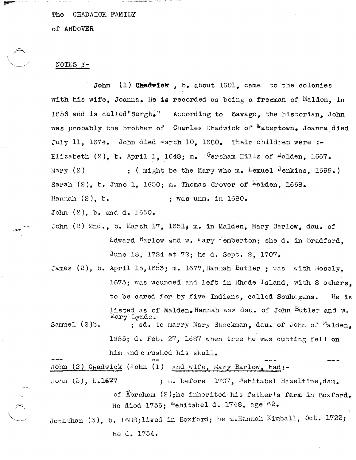CHADWICK FAMILY The

of ANDOVER

## NOTES F-

 $(1)$  Chadwick, b. about 1601, came to the colonies John with his wife, Joanna. He is recorded as being a freeman of Malden. in 1656 and is called"Sergt." According to Savage, the historian. John was probably the brother of Charles Chadwick of Watertown, Joanna died July 11, 1674. John died March 10, 1680. Their children were:-Elizabeth (2), b. April 1, 1648; m. Gersham Hills of Malden, 1667. ; ( might be the Mary who m. Lemuel Jenkins,  $1699.$  )  $Mary (2)$ Sarah  $(2)$ , b. June 1, 1650; m. Thomas Grover of <sup>m</sup>alden, 1668. Hannah  $(2)$ , b. ; was unm. in 1680.

John  $(2)$ , b. and d. 1650.

- John (2) 2nd., b. March 17, 1651; m. in Malden, Mary Barlow, dau. of Edward Barlow and w. Mary Femberton: she d. in Bradford. June 18, 1724 at 72; he d. Sept. 2, 1707.
- James (2), b. April 15,1653; m. 1677, Hannah Butler ; was with Mosely, 1675; was wounded and left in Rhode Island, with 8 others. to be cared for by five Indians, called Souhegans.  $He$  is listed as of Malden. Hannah was dau. of John Butler and w. Mary Lynde. Samuel  $(2)$ b. ; sd. to marry Mary Stockman, dau. of John of <sup>M</sup>alden. 1685; d. Feb. 27, 1687 when tree he was cutting fell on him and c rushed his skull.

John (2) Chadwick (John (1) and wife, Mary Barlow, had:-John  $(3)$ ,  $b.1677$ ; m. before 1707, "ehitabel Hazeltine, dau. of Abraham (2);he inherited his father's farm in Boxford. He died 1756; "ehitabel d. 1748, age 62.

Jonathan (3), b. 1688; lived in Boxford; he m. Hannah Kimball, Oct. 1722; he d. 1754.